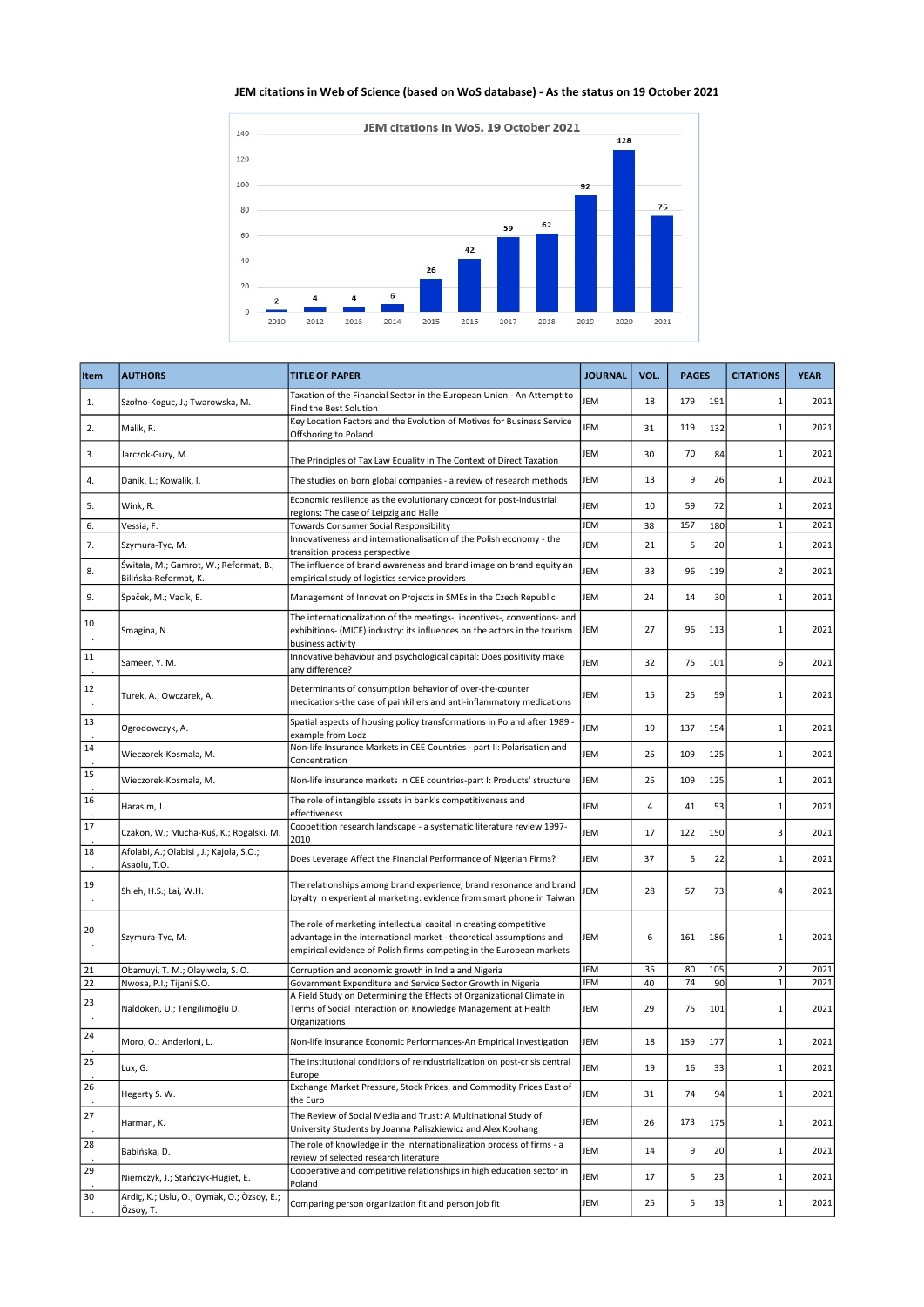## JEM citations in Web of Science (based on WoS database) - As the status on 19 October 2021



| Item          | <b>AUTHORS</b>                                                  | <b>TITLE OF PAPER</b>                                                                                                                                                                                             | <b>JOURNAL</b> | VOL. | <b>PAGES</b> |     | <b>CITATIONS</b>        | <b>YEAR</b> |
|---------------|-----------------------------------------------------------------|-------------------------------------------------------------------------------------------------------------------------------------------------------------------------------------------------------------------|----------------|------|--------------|-----|-------------------------|-------------|
| 1.            | Szołno-Koguc, J.; Twarowska, M.                                 | Taxation of the Financial Sector in the European Union - An Attempt to<br>Find the Best Solution                                                                                                                  | JEM            | 18   | 179          | 191 | $\mathbf{1}$            | 2021        |
| 2.            | Malik, R.                                                       | Key Location Factors and the Evolution of Motives for Business Service<br>Offshoring to Poland                                                                                                                    | JEM            | 31   | 119          | 132 | $\mathbf{1}$            | 2021        |
| 3.            | Jarczok-Guzy, M.                                                | The Principles of Tax Law Equality in The Context of Direct Taxation                                                                                                                                              | JEM            | 30   | 70           | 84  | $\mathbf{1}$            | 2021        |
| 4.            | Danik, L.; Kowalik, I.                                          | The studies on born global companies - a review of research methods                                                                                                                                               | JEM            | 13   | 9            | 26  | $\mathbf{1}$            | 2021        |
| 5.            | Wink, R.                                                        | Economic resilience as the evolutionary concept for post-industrial<br>regions: The case of Leipzig and Halle                                                                                                     | JEM            | 10   | 59           | 72  | $\mathbf{1}$            | 2021        |
| 6.            | Vessia, F.                                                      | Towards Consumer Social Responsibility                                                                                                                                                                            | JEM            | 38   | 157          | 180 | $\mathbf{1}$            | 2021        |
| 7.            | Szymura-Tyc, M.                                                 | Innovativeness and internationalisation of the Polish economy - the<br>transition process perspective                                                                                                             | JEM            | 21   | 5            | 20  | $\mathbf{1}$            | 2021        |
| 8.            | Świtała, M.; Gamrot, W.; Reformat, B.;<br>Bilińska-Reformat, K. | The influence of brand awareness and brand image on brand equity an<br>empirical study of logistics service providers                                                                                             | JEM            | 33   | 96           | 119 | $\overline{\mathbf{c}}$ | 2021        |
| 9.            | Špaček, M.; Vacík, E.                                           | Management of Innovation Projects in SMEs in the Czech Republic                                                                                                                                                   | JEM            | 24   | 14           | 30  | $\mathbf{1}$            | 2021        |
| 10            | Smagina, N.                                                     | The internationalization of the meetings-, incentives-, conventions- and<br>exhibitions- (MICE) industry: its influences on the actors in the tourism<br>business activity                                        | JEM            | 27   | 96           | 113 | $\mathbf{1}$            | 2021        |
| 11            | Sameer, Y. M.                                                   | Innovative behaviour and psychological capital: Does positivity make<br>any difference?                                                                                                                           | JEM            | 32   | 75           | 101 | 6                       | 2021        |
| 12            | Turek, A.; Owczarek, A.                                         | Determinants of consumption behavior of over-the-counter<br>medications-the case of painkillers and anti-inflammatory medications                                                                                 | JEM            | 15   | 25           | 59  | $\mathbf{1}$            | 2021        |
| 13            | Ogrodowczyk, A.                                                 | Spatial aspects of housing policy transformations in Poland after 1989 -<br>example from Lodz                                                                                                                     | JEM            | 19   | 137          | 154 | $\mathbf{1}$            | 2021        |
| 14            | Wieczorek-Kosmala, M.                                           | Non-life Insurance Markets in CEE Countries - part II: Polarisation and<br>Concentration                                                                                                                          | <b>JEM</b>     | 25   | 109          | 125 | $\mathbf{1}$            | 2021        |
| 15            | Wieczorek-Kosmala, M.                                           | Non-life insurance markets in CEE countries-part I: Products' structure                                                                                                                                           | JEM            | 25   | 109          | 125 | $\mathbf{1}$            | 2021        |
| 16            | Harasim, J.                                                     | The role of intangible assets in bank's competitiveness and<br>effectiveness                                                                                                                                      | JEM            | 4    | 41           | 53  | $\mathbf{1}$            | 2021        |
| 17            | Czakon, W.; Mucha-Kuś, K.; Rogalski, M.                         | Coopetition research landscape - a systematic literature review 1997-<br>2010                                                                                                                                     | JEM            | 17   | 122          | 150 | 3                       | 2021        |
| 18            | Afolabi, A.; Olabisi , J.; Kajola, S.O.;<br>Asaolu, T.O.        | Does Leverage Affect the Financial Performance of Nigerian Firms?                                                                                                                                                 | JEM            | 37   | 5            | 22  | $\mathbf{1}$            | 2021        |
| 19<br>$\cdot$ | Shieh, H.S.; Lai, W.H.                                          | The relationships among brand experience, brand resonance and brand<br>loyalty in experiential marketing: evidence from smart phone in Taiwan                                                                     | <b>JEM</b>     | 28   | 57           | 73  | $\overline{4}$          | 2021        |
| 20            | Szymura-Tyc, M.                                                 | The role of marketing intellectual capital in creating competitive<br>advantage in the international market - theoretical assumptions and<br>empirical evidence of Polish firms competing in the European markets | JEM            | 6    | 161          | 186 | $\mathbf{1}$            | 2021        |
| 21            | Obamuyi, T. M.; Olayiwola, S. O.                                | Corruption and economic growth in India and Nigeria                                                                                                                                                               | JEM            | 35   | 80           | 105 | $\overline{2}$          | 2021        |
| 22            | Nwosa, P.I.; Tijani S.O.                                        | Government Expenditure and Service Sector Growth in Nigeria                                                                                                                                                       | JEM            | 40   | 74           | 90  | $\mathbf{1}$            | 2021        |
| 23            | Naldöken, U.; Tengilimoğlu D.                                   | A Field Study on Determining the Effects of Organizational Climate in<br>Terms of Social Interaction on Knowledge Management at Health<br>Organizations                                                           | JEM            | 29   | 75           | 101 | $\mathbf{1}$            | 2021        |
| 24            | Moro, O.; Anderloni, L.                                         | Non-life insurance Economic Performances-An Empirical Investigation                                                                                                                                               | JEM            | 18   | 159          | 177 | $\mathbf{1}$            | 2021        |
| 25            | Lux, G.                                                         | The institutional conditions of reindustrialization on post-crisis central<br>Europe                                                                                                                              | JEM            | 19   | 16           | 33  | $\mathbf{1}$            | 2021        |
| 26            | Hegerty S.W.                                                    | Exchange Market Pressure, Stock Prices, and Commodity Prices East of<br>the Euro                                                                                                                                  | JEM            | 31   | 74           | 94  | $\mathbf{1}$            | 2021        |
| 27            | Harman, K.                                                      | The Review of Social Media and Trust: A Multinational Study of<br>University Students by Joanna Paliszkiewicz and Alex Koohang                                                                                    | JEM            | 26   | 173          | 175 | $\mathbf{1}$            | 2021        |
| 28            | Babińska, D.                                                    | The role of knowledge in the internationalization process of firms - a<br>review of selected research literature                                                                                                  | JEM            | 14   | 9            | 20  | $\mathbf{1}$            | 2021        |
| 29            | Niemczyk, J.; Stańczyk-Hugiet, E.                               | Cooperative and competitive relationships in high education sector in<br>Poland                                                                                                                                   | JEM            | 17   | 5            | 23  | $\mathbf 1$             | 2021        |
| 30            | Ardiç, K.; Uslu, O.; Oymak, O.; Özsoy, E.;<br>Özsoy, T.         | Comparing person organization fit and person job fit                                                                                                                                                              | JEM            | 25   | 5            | 13  | $\mathbf{1}$            | 2021        |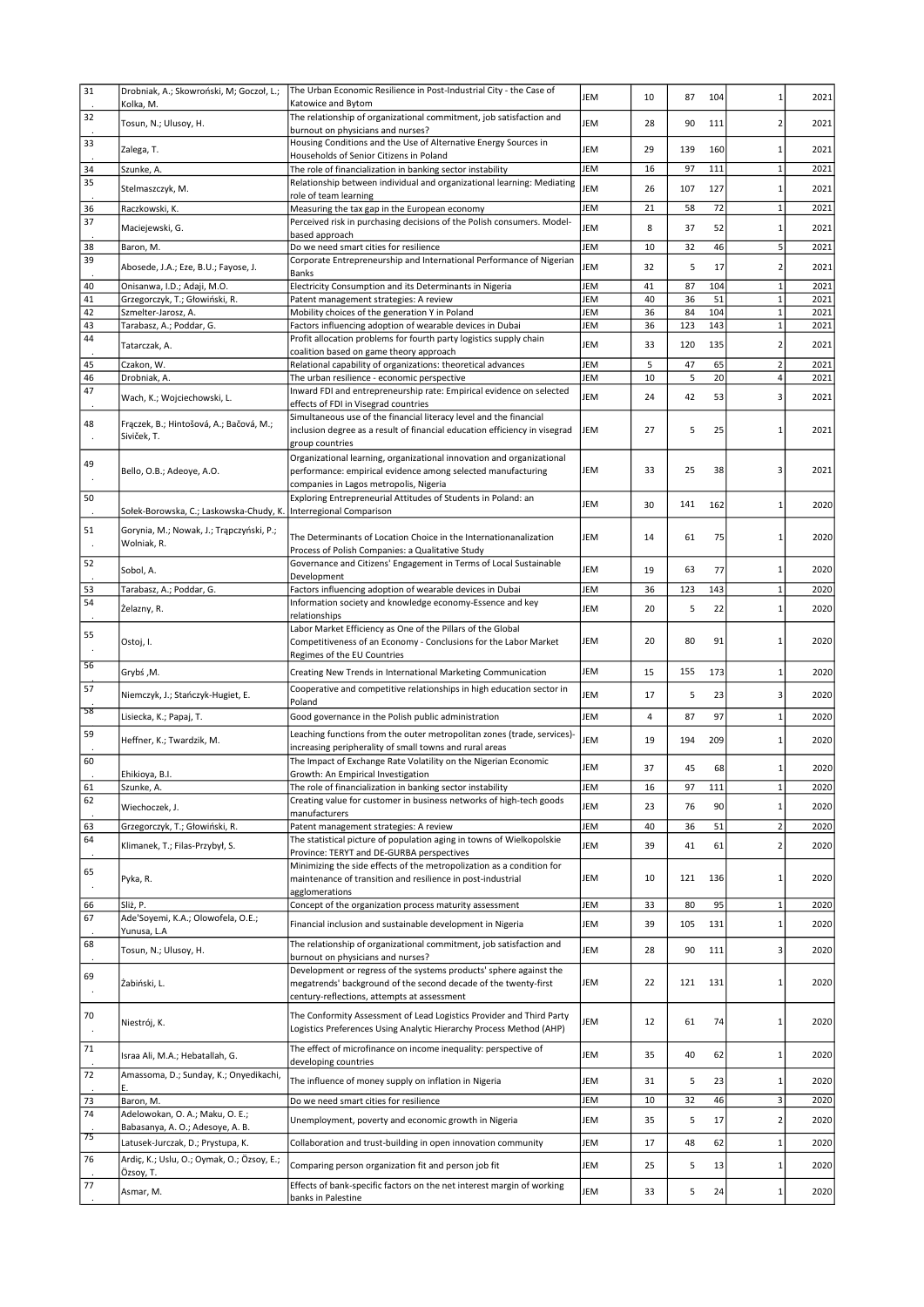| 31            | Drobniak, A.; Skowroński, M; Goczoł, L.;                              | The Urban Economic Resilience in Post-Industrial City - the Case of                                                                                                        | JEM        | 10       | 87        | 104        | $\mathbf{1}$                 | 2021         |
|---------------|-----------------------------------------------------------------------|----------------------------------------------------------------------------------------------------------------------------------------------------------------------------|------------|----------|-----------|------------|------------------------------|--------------|
| 32            | Kolka, M.<br>Tosun, N.; Ulusoy, H.                                    | Katowice and Bytom<br>The relationship of organizational commitment, job satisfaction and                                                                                  | JEM        | 28       | 90        | 111        | $\overline{2}$               | 2021         |
| 33            |                                                                       | burnout on physicians and nurses?<br>Housing Conditions and the Use of Alternative Energy Sources in                                                                       |            |          |           |            |                              |              |
|               | Zalega, T.                                                            | Households of Senior Citizens in Poland                                                                                                                                    | JEM        | 29       | 139       | 160        | $\mathbf{1}$                 | 2021         |
| 34<br>35      | Szunke, A.<br>Stelmaszczyk, M.                                        | The role of financialization in banking sector instability<br>Relationship between individual and organizational learning: Mediating                                       | JEM<br>JEM | 16<br>26 | 97<br>107 | 111<br>127 | $\mathbf{1}$<br>$\mathbf{1}$ | 2021<br>2021 |
|               | Raczkowski, K.                                                        | role of team learning<br>Measuring the tax gap in the European economy                                                                                                     | JEM        | 21       | 58        | 72         | $1\,$                        | 2021         |
| 36<br>37      |                                                                       | Perceived risk in purchasing decisions of the Polish consumers. Model-                                                                                                     | JEM        | 8        | 37        | 52         | $\mathbf{1}$                 | 2021         |
|               | Maciejewski, G.                                                       | based approach                                                                                                                                                             |            |          |           |            |                              |              |
| 38<br>39      | Baron, M.                                                             | Do we need smart cities for resilience<br>Corporate Entrepreneurship and International Performance of Nigerian                                                             | JEM        | 10       | 32        | 46         | 5                            | 2021         |
|               | Abosede, J.A.; Eze, B.U.; Fayose, J.                                  | <b>Banks</b>                                                                                                                                                               | JEM        | 32       | 5         | 17         | $\overline{2}$               | 2021         |
| 40<br>41      | Onisanwa, I.D.; Adaji, M.O.<br>Grzegorczyk, T.; Głowiński, R.         | Electricity Consumption and its Determinants in Nigeria<br>Patent management strategies: A review                                                                          | JEM<br>JEM | 41<br>40 | 87<br>36  | 104<br>51  | $\mathbf{1}$<br>$\mathbf{1}$ | 2021<br>2021 |
| 42            | Szmelter-Jarosz, A.                                                   | Mobility choices of the generation Y in Poland                                                                                                                             | JEM        | 36       | 84        | 104        | $\mathbf 1$                  | 2021         |
| 43            | Tarabasz, A.; Poddar, G.                                              | Factors influencing adoption of wearable devices in Dubai                                                                                                                  | JEM        | 36       | 123       | 143        | $\mathbf 1$                  | 2021         |
| 44            | Tatarczak, A.                                                         | Profit allocation problems for fourth party logistics supply chain                                                                                                         | JEM        | 33       | 120       | 135        | $\overline{2}$               | 2021         |
| 45            | Czakon, W.                                                            | coalition based on game theory approach<br>Relational capability of organizations: theoretical advances                                                                    | JEM        | 5        | 47        | 65         | $\overline{2}$               | 2021         |
| 46            | Drobniak, A.                                                          | The urban resilience - economic perspective                                                                                                                                | JEM        | 10       | 5         | 20         | 4                            | 2021         |
| 47            | Wach, K.; Wojciechowski, L.                                           | Inward FDI and entrepreneurship rate: Empirical evidence on selected                                                                                                       | JEM        | 24       | 42        | 53         | 3                            | 2021         |
|               |                                                                       | effects of FDI in Visegrad countries<br>Simultaneous use of the financial literacy level and the financial                                                                 |            |          |           |            |                              |              |
| 48<br>$\cdot$ | Fraczek, B.; Hintošová, A.; Bačová, M.;<br>Siviček, T.                | inclusion degree as a result of financial education efficiency in visegrad<br>group countries                                                                              | JEM        | 27       | 5         | 25         | $\mathbf{1}$                 | 2021         |
| 49<br>٠.      | Bello, O.B.; Adeoye, A.O.                                             | Organizational learning, organizational innovation and organizational<br>performance: empirical evidence among selected manufacturing                                      | JEM        | 33       | 25        | 38         | 3                            | 2021         |
| 50            |                                                                       | companies in Lagos metropolis, Nigeria<br>Exploring Entrepreneurial Attitudes of Students in Poland: an                                                                    | JEM        | 30       | 141       | 162        | $\mathbf{1}$                 | 2020         |
|               | Sołek-Borowska, C.; Laskowska-Chudy, K.                               | Interregional Comparison                                                                                                                                                   |            |          |           |            |                              |              |
| 51<br>$\cdot$ | Gorynia, M.; Nowak, J.; Trąpczyński, P.;<br>Wolniak, R.               | The Determinants of Location Choice in the Internationanalization<br>Process of Polish Companies: a Qualitative Study                                                      | JEM        | 14       | 61        | 75         | 1                            | 2020         |
| 52            | Sobol, A.                                                             | Governance and Citizens' Engagement in Terms of Local Sustainable<br>Development                                                                                           | JEM        | 19       | 63        | 77         | $\mathbf{1}$                 | 2020         |
| 53            | Tarabasz, A.; Poddar, G.                                              | Factors influencing adoption of wearable devices in Dubai                                                                                                                  | JEM        | 36       | 123       | 143        | $\mathbf{1}$                 | 2020         |
| 54            | Żelazny, R.                                                           | Information society and knowledge economy-Essence and key                                                                                                                  | JEM        | 20       | 5         | 22         | $\mathbf{1}$                 | 2020         |
|               |                                                                       | relationships                                                                                                                                                              |            |          |           |            |                              |              |
| 55            | Ostoj, I.                                                             | Labor Market Efficiency as One of the Pillars of the Global<br>Competitiveness of an Economy - Conclusions for the Labor Market<br>Regimes of the EU Countries             | JEM        | 20       | 80        | 91         | $\mathbf{1}$                 | 2020         |
| 56            | Grybś, M.                                                             | Creating New Trends in International Marketing Communication                                                                                                               | JEM        | 15       | 155       | 173        | $\mathbf{1}$                 | 2020         |
| 57            | Niemczyk, J.; Stańczyk-Hugiet, E.                                     | Cooperative and competitive relationships in high education sector in                                                                                                      | JEM        | 17       | 5         | 23         | 3                            | 2020         |
| -58           | Lisiecka, K.; Papaj, T.                                               | Poland<br>Good governance in the Polish public administration                                                                                                              | JEM        | 4        | 87        | 97         | $\mathbf{1}$                 | 2020         |
| 59            |                                                                       | Leaching functions from the outer metropolitan zones (trade, services)-                                                                                                    |            |          |           |            |                              |              |
|               | Heffner, K.; Twardzik, M.                                             | increasing peripherality of small towns and rural areas                                                                                                                    | JEM        | 19       | 194       | 209        | $\mathbf{1}$                 | 2020         |
| 60            |                                                                       | The Impact of Exchange Rate Volatility on the Nigerian Economic                                                                                                            | JEM        | 37       | 45        | 68         | 1                            | 2020         |
| 61            | Ehikioya, B.I.<br>Szunke, A.                                          | Growth: An Empirical Investigation<br>The role of financialization in banking sector instability                                                                           | JEM        | 16       | 97        | 111        | $\mathbf 1$                  | 2020         |
| 62            | Wiechoczek, J.                                                        | Creating value for customer in business networks of high-tech goods                                                                                                        | JEM        | 23       | 76        | 90         | $\mathbf{1}$                 | 2020         |
|               |                                                                       | manufacturers                                                                                                                                                              |            |          |           |            |                              |              |
| 63<br>64      | Grzegorczyk, T.; Głowiński, R.                                        | Patent management strategies: A review<br>The statistical picture of population aging in towns of Wielkopolskie                                                            | JEM        | 40       | 36        | 51         | $\mathbf 2$                  | 2020         |
|               | Klimanek, T.; Filas-Przybył, S.                                       | Province: TERYT and DE-GURBA perspectives                                                                                                                                  | JEM        | 39       | 41        | 61         | $\overline{2}$               | 2020         |
| 65<br>$\cdot$ | Pyka, R.                                                              | Minimizing the side effects of the metropolization as a condition for<br>maintenance of transition and resilience in post-industrial<br>agglomerations                     | JEM        | 10       | 121       | 136        | $\mathbf{1}$                 | 2020         |
| 66            | Sliż, P.                                                              | Concept of the organization process maturity assessment                                                                                                                    | JEM        | 33       | 80        | 95         | $1\,$                        | 2020         |
| 67            | Ade'Soyemi, K.A.; Olowofela, O.E.;                                    | Financial inclusion and sustainable development in Nigeria                                                                                                                 | JEM        | 39       | 105       | 131        | $\mathbf{1}$                 | 2020         |
| 68            | Yunusa, L.A<br>Tosun, N.; Ulusoy, H.                                  | The relationship of organizational commitment, job satisfaction and                                                                                                        | JEM        | 28       | 90        | 111        | 3                            | 2020         |
| 69            | Żabiński, L.                                                          | burnout on physicians and nurses?<br>Development or regress of the systems products' sphere against the<br>megatrends' background of the second decade of the twenty-first | JEM        | 22       | 121       | 131        | $\mathbf{1}$                 | 2020         |
| 70            | Niestrój, K.                                                          | century-reflections, attempts at assessment<br>The Conformity Assessment of Lead Logistics Provider and Third Party                                                        | JEM        | 12       | 61        | 74         | $\mathbf{1}$                 | 2020         |
| $\cdot$<br>71 |                                                                       | Logistics Preferences Using Analytic Hierarchy Process Method (AHP)<br>The effect of microfinance on income inequality: perspective of                                     |            |          |           |            |                              |              |
|               | Israa Ali, M.A.; Hebatallah, G.                                       | developing countries                                                                                                                                                       | JEM        | 35       | 40        | 62         | $\mathbf{1}$                 | 2020         |
| 72            | Amassoma, D.; Sunday, K.; Onyedikachi,<br>Е.                          | The influence of money supply on inflation in Nigeria                                                                                                                      | JEM        | 31       | 5         | 23         | $1\,$                        | 2020         |
| 73            | Baron, M.                                                             | Do we need smart cities for resilience                                                                                                                                     | JEM        | 10       | 32        | 46         | 3                            | 2020         |
| 74            | Adelowokan, O. A.; Maku, O. E.;                                       | Unemployment, poverty and economic growth in Nigeria                                                                                                                       | JEM        | 35       | 5         | 17         | $\mathbf 2$                  | 2020         |
| 75            | Babasanya, A. O.; Adesoye, A. B.<br>Latusek-Jurczak, D.; Prystupa, K. | Collaboration and trust-building in open innovation community                                                                                                              | JEM        | 17       | 48        | 62         | $\mathbf{1}$                 | 2020         |
| 76            | Ardiç, K.; Uslu, O.; Oymak, O.; Özsoy, E.;                            |                                                                                                                                                                            |            |          |           |            |                              |              |
|               | Özsoy, T.                                                             | Comparing person organization fit and person job fit                                                                                                                       | JEM        | 25       | 5         | 13         | $\mathbf{1}$                 | 2020         |
| 77            | Asmar, M.                                                             | Effects of bank-specific factors on the net interest margin of working<br>banks in Palestine                                                                               | JEM        | 33       | 5         | 24         | $\mathbf{1}$                 | 2020         |
|               |                                                                       |                                                                                                                                                                            |            |          |           |            |                              |              |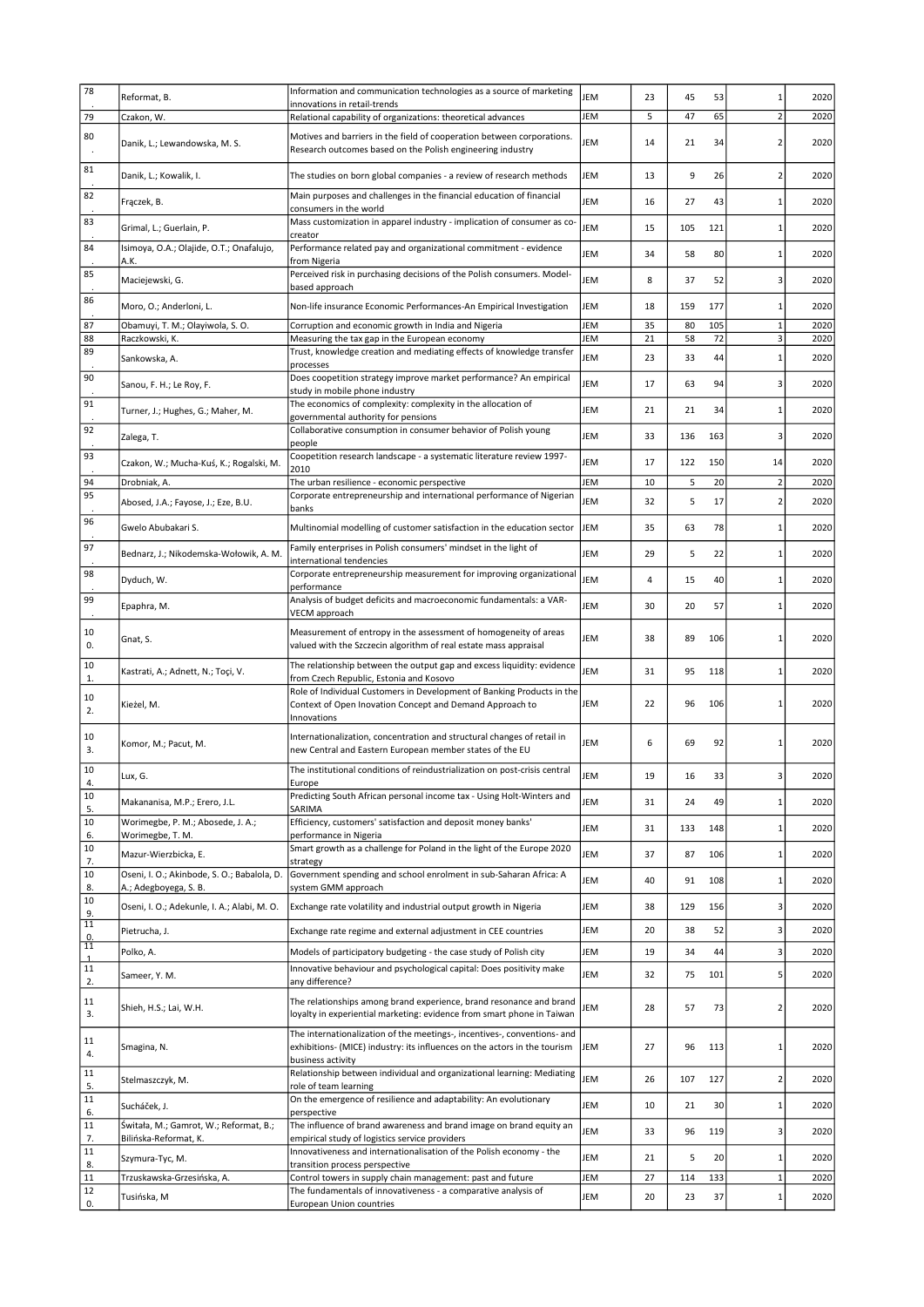| 78             | Reformat, B.                                                         | Information and communication technologies as a source of marketing                                                                  | JEM | 23 | 45  | 53  | $\mathbf{1}$   | 2020 |
|----------------|----------------------------------------------------------------------|--------------------------------------------------------------------------------------------------------------------------------------|-----|----|-----|-----|----------------|------|
| 79             | Czakon, W.                                                           | innovations in retail-trends<br>Relational capability of organizations: theoretical advances                                         | JEM | 5  | 47  | 65  | $\overline{2}$ | 2020 |
| 80             |                                                                      | Motives and barriers in the field of cooperation between corporations.                                                               |     |    |     |     |                |      |
|                | Danik, L.; Lewandowska, M. S.                                        | Research outcomes based on the Polish engineering industry                                                                           | JEM | 14 | 21  | 34  | $\overline{2}$ | 2020 |
| 81             |                                                                      | The studies on born global companies - a review of research methods                                                                  | JEM |    | 9   | 26  | $\overline{2}$ | 2020 |
|                | Danik, L.; Kowalik, I.                                               |                                                                                                                                      |     | 13 |     |     |                |      |
| 82             | Fraczek, B.                                                          | Main purposes and challenges in the financial education of financial<br>consumers in the world                                       | JEM | 16 | 27  | 43  | $\mathbf{1}$   | 2020 |
| 83             | Grimal, L.; Guerlain, P.                                             | Mass customization in apparel industry - implication of consumer as co-                                                              | JEM | 15 | 105 | 121 | $\mathbf{1}$   | 2020 |
| 84             | Isimoya, O.A.; Olajide, O.T.; Onafalujo,                             | creator<br>Performance related pay and organizational commitment - evidence                                                          |     |    |     |     |                |      |
|                | A.K.                                                                 | from Nigeria                                                                                                                         | JEM | 34 | 58  | 80  | $\mathbf{1}$   | 2020 |
| 85             | Maciejewski, G.                                                      | Perceived risk in purchasing decisions of the Polish consumers. Model-<br>based approach                                             | JEM | 8  | 37  | 52  | 3              | 2020 |
| 86             | Moro, O.; Anderloni, L.                                              | Non-life insurance Economic Performances-An Empirical Investigation                                                                  | JEM | 18 | 159 | 177 | $\mathbf{1}$   | 2020 |
| 87             | Obamuyi, T. M.; Olayiwola, S. O.                                     | Corruption and economic growth in India and Nigeria                                                                                  | JEM | 35 | 80  | 105 | $\mathbf{1}$   | 2020 |
| 88             | Raczkowski, K.                                                       | Measuring the tax gap in the European economy                                                                                        | JEM | 21 | 58  | 72  | 3              | 2020 |
| 89             | Sankowska, A.                                                        | Trust, knowledge creation and mediating effects of knowledge transfer                                                                | JEM | 23 | 33  | 44  | $\mathbf{1}$   | 2020 |
| 90             |                                                                      | processes<br>Does coopetition strategy improve market performance? An empirical                                                      |     |    |     |     |                |      |
|                | Sanou, F. H.; Le Roy, F.                                             | study in mobile phone industry                                                                                                       | JEM | 17 | 63  | 94  | 3              | 2020 |
| 91             | Turner, J.; Hughes, G.; Maher, M.                                    | The economics of complexity: complexity in the allocation of<br>governmental authority for pensions                                  | JEM | 21 | 21  | 34  | $\mathbf{1}$   | 2020 |
| 92             | Zalega, T.                                                           | Collaborative consumption in consumer behavior of Polish young                                                                       | JEM | 33 | 136 | 163 | 3              | 2020 |
| 93             |                                                                      | people<br>Coopetition research landscape - a systematic literature review 1997-                                                      |     |    |     |     |                |      |
|                | Czakon, W.; Mucha-Kuś, K.; Rogalski, M.                              | 2010                                                                                                                                 | JEM | 17 | 122 | 150 | 14             | 2020 |
| 94             | Drobniak, A.                                                         | The urban resilience - economic perspective                                                                                          | JEM | 10 | 5   | 20  | $\overline{2}$ | 2020 |
| 95             | Abosed, J.A.; Fayose, J.; Eze, B.U.                                  | Corporate entrepreneurship and international performance of Nigerian<br>banks                                                        | JEM | 32 | 5   | 17  | $\overline{2}$ | 2020 |
| 96             | Gwelo Abubakari S.                                                   | Multinomial modelling of customer satisfaction in the education sector                                                               | JEM | 35 | 63  | 78  | $\mathbf{1}$   | 2020 |
| 97             |                                                                      | Family enterprises in Polish consumers' mindset in the light of                                                                      |     |    |     |     |                |      |
|                | Bednarz, J.; Nikodemska-Wołowik, A. M.                               | international tendencies                                                                                                             | JEM | 29 | 5   | 22  | $\mathbf{1}$   | 2020 |
| 98             | Dyduch, W.                                                           | Corporate entrepreneurship measurement for improving organizational                                                                  | JEM | 4  | 15  | 40  | $\mathbf{1}$   | 2020 |
| 99             |                                                                      | performance<br>Analysis of budget deficits and macroeconomic fundamentals: a VAR-                                                    |     |    |     |     |                |      |
|                | Epaphra, M.                                                          | VECM approach                                                                                                                        | JEM | 30 | 20  | 57  | $\mathbf{1}$   | 2020 |
| 10<br>0.       | Gnat, S.                                                             | Measurement of entropy in the assessment of homogeneity of areas<br>valued with the Szczecin algorithm of real estate mass appraisal | JEM | 38 | 89  | 106 | $\mathbf{1}$   | 2020 |
| 10<br>1.       | Kastrati, A.; Adnett, N.; Toçi, V.                                   | The relationship between the output gap and excess liquidity: evidence<br>from Czech Republic, Estonia and Kosovo                    | JEM | 31 | 95  | 118 | $\mathbf{1}$   | 2020 |
| 10             |                                                                      | Role of Individual Customers in Development of Banking Products in the                                                               |     |    |     |     |                |      |
| 2.             | Kieżel, M.                                                           | Context of Open Inovation Concept and Demand Approach to<br>Innovations                                                              | JEM | 22 | 96  | 106 | 1              | 2020 |
| 10             |                                                                      | Internationalization, concentration and structural changes of retail in                                                              |     |    |     |     |                |      |
| 3.             | Komor, M.; Pacut, M.                                                 | new Central and Eastern European member states of the EU                                                                             | JEM | 6  | 69  | 92  | 1              | 2020 |
| 10             |                                                                      | The institutional conditions of reindustrialization on post-crisis central                                                           | JEM | 19 |     | 33  | 3              | 2020 |
| 4.             | Lux, G.                                                              | Europe                                                                                                                               |     |    | 16  |     |                |      |
| 10<br>5.       | Makananisa, M.P.; Erero, J.L.                                        | Predicting South African personal income tax - Using Holt-Winters and<br>SARIMA                                                      | JEM | 31 | 24  | 49  | $\mathbf{1}$   | 2020 |
| 10             | Worimegbe, P. M.; Abosede, J. A.;                                    | Efficiency, customers' satisfaction and deposit money banks'                                                                         | JEM | 31 | 133 | 148 | $\mathbf{1}$   | 2020 |
| 6.<br>10       | Worimegbe, T. M.                                                     | performance in Nigeria<br>Smart growth as a challenge for Poland in the light of the Europe 2020                                     |     |    |     |     |                |      |
| 7.             | Mazur-Wierzbicka, E.                                                 | strategy                                                                                                                             | JEM | 37 | 87  | 106 | $\mathbf{1}$   | 2020 |
| 10<br>8.       | Oseni, I. O.; Akinbode, S. O.; Babalola, D.<br>A.; Adegboyega, S. B. | Government spending and school enrolment in sub-Saharan Africa: A<br>system GMM approach                                             | JEM | 40 | 91  | 108 | $\mathbf{1}$   | 2020 |
| 10             | Oseni, I. O.; Adekunle, I. A.; Alabi, M. O.                          | Exchange rate volatility and industrial output growth in Nigeria                                                                     | JEM | 38 | 129 | 156 | 3              | 2020 |
| 9.<br>11       |                                                                      |                                                                                                                                      | JEM | 20 | 38  |     | 3              |      |
| $\frac{0}{11}$ | Pietrucha, J.                                                        | Exchange rate regime and external adjustment in CEE countries                                                                        |     |    |     | 52  |                | 2020 |
| $\mathbf{1}$   | Polko, A.                                                            | Models of participatory budgeting - the case study of Polish city                                                                    | JEM | 19 | 34  | 44  | 3              | 2020 |
| 11<br>2.       | Sameer, Y. M.                                                        | Innovative behaviour and psychological capital: Does positivity make<br>any difference?                                              | JEM | 32 | 75  | 101 | 5              | 2020 |
| 11             |                                                                      | The relationships among brand experience, brand resonance and brand                                                                  |     |    |     |     |                |      |
| 3.             | Shieh, H.S.; Lai, W.H.                                               | loyalty in experiential marketing: evidence from smart phone in Taiwan                                                               | JEM | 28 | 57  | 73  | $\overline{2}$ | 2020 |
|                |                                                                      | The internationalization of the meetings-, incentives-, conventions- and                                                             |     |    |     |     |                |      |
| 11<br>4.       | Smagina, N.                                                          | exhibitions- (MICE) industry: its influences on the actors in the tourism                                                            | JEM | 27 | 96  | 113 | $\mathbf{1}$   | 2020 |
| 11             |                                                                      | business activity<br>Relationship between individual and organizational learning: Mediating                                          |     |    |     |     |                |      |
| 5.             | Stelmaszczyk, M.                                                     | role of team learning                                                                                                                | JEM | 26 | 107 | 127 | $\overline{2}$ | 2020 |
| 11<br>6.       | Sucháček, J.                                                         | On the emergence of resilience and adaptability: An evolutionary<br>perspective                                                      | JEM | 10 | 21  | 30  | $\mathbf{1}$   | 2020 |
| 11             | Świtała, M.; Gamrot, W.; Reformat, B.;                               | The influence of brand awareness and brand image on brand equity an                                                                  | JEM | 33 | 96  | 119 | 3              | 2020 |
| 7.<br>$11\,$   | Bilińska-Reformat, K.                                                | empirical study of logistics service providers<br>Innovativeness and internationalisation of the Polish economy - the                |     |    |     |     |                |      |
| 8.             | Szymura-Tyc, M.                                                      | transition process perspective                                                                                                       | JEM | 21 | 5   | 20  | $\mathbf{1}$   | 2020 |
| $11\,$         | Trzuskawska-Grzesińska, A.                                           | Control towers in supply chain management: past and future                                                                           | JEM | 27 | 114 | 133 | $\mathbf{1}$   | 2020 |
| 12<br>0.       | Tusińska, M                                                          | The fundamentals of innovativeness - a comparative analysis of<br>European Union countries                                           | JEM | 20 | 23  | 37  | $\mathbf{1}$   | 2020 |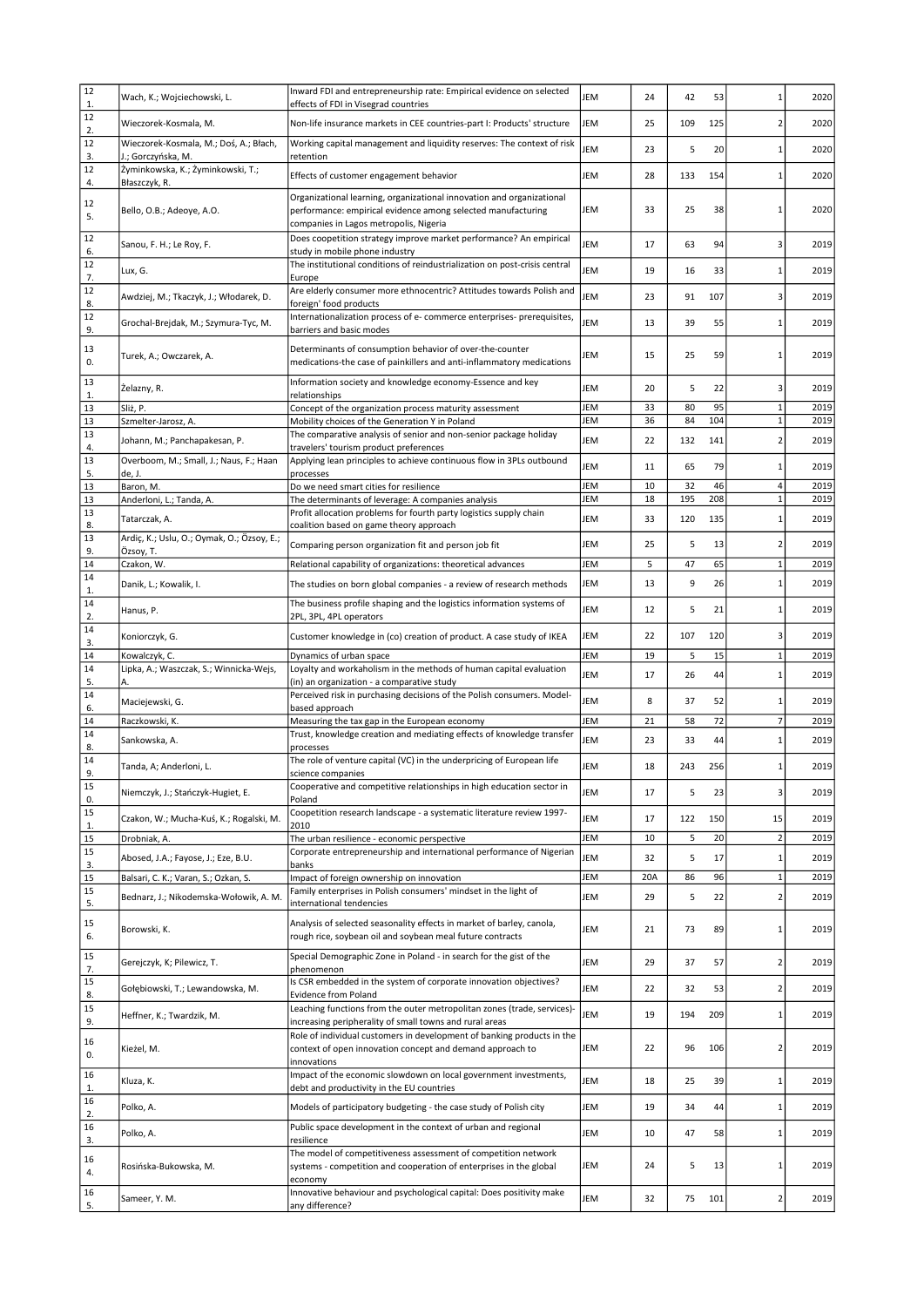| 12<br>$\mathbf{1}$ . | Wach, K.; Wojciechowski, L.                                  | Inward FDI and entrepreneurship rate: Empirical evidence on selected<br>effects of FDI in Visegrad countries                                                                    | JEM        | 24       | 42       | 53       |                         | 2020         |
|----------------------|--------------------------------------------------------------|---------------------------------------------------------------------------------------------------------------------------------------------------------------------------------|------------|----------|----------|----------|-------------------------|--------------|
| 12<br>2.             | Wieczorek-Kosmala, M.                                        | Non-life insurance markets in CEE countries-part I: Products' structure                                                                                                         | JEM        | 25       | 109      | 125      | 2                       | 2020         |
| 12<br>3.             | Wieczorek-Kosmala, M.; Doś, A.; Błach,<br>J.; Gorczyńska, M. | Working capital management and liquidity reserves: The context of risk<br>retention                                                                                             | JEM        | 23       | 5        | 20       | 1                       | 2020         |
| 12<br>4.             | Żyminkowska, K.; Żyminkowski, T.;<br>Błaszczyk, R.           | Effects of customer engagement behavior                                                                                                                                         | JEM        | 28       | 133      | 154      |                         | 2020         |
| 12<br>5.             | Bello, O.B.; Adeoye, A.O.                                    | Organizational learning, organizational innovation and organizational<br>performance: empirical evidence among selected manufacturing<br>companies in Lagos metropolis, Nigeria | JEM        | 33       | 25       | 38       | 1                       | 2020         |
| 12<br>6.             | Sanou, F. H.; Le Roy, F.                                     | Does coopetition strategy improve market performance? An empirical<br>study in mobile phone industry                                                                            | JEM        | 17       | 63       | 94       | 3                       | 2019         |
| 12<br>7.             | Lux, G.                                                      | The institutional conditions of reindustrialization on post-crisis central<br>Europe                                                                                            | JEM        | 19       | 16       | 33       |                         | 2019         |
| 12<br>8.             | Awdziej, M.; Tkaczyk, J.; Włodarek, D.                       | Are elderly consumer more ethnocentric? Attitudes towards Polish and<br>foreign' food products                                                                                  | JEM        | 23       | 91       | 107      | 3                       | 2019         |
| 12<br>9.             | Grochal-Brejdak, M.; Szymura-Tyc, M.                         | Internationalization process of e- commerce enterprises- prerequisites,<br>barriers and basic modes                                                                             | JEM        | 13       | 39       | 55       | 1                       | 2019         |
| 13<br>0.             | Turek, A.; Owczarek, A.                                      | Determinants of consumption behavior of over-the-counter<br>medications-the case of painkillers and anti-inflammatory medications                                               | JEM        | 15       | 25       | 59       | 1                       | 2019         |
| 13<br>$\mathbf{1}$ . | Zelazny, R.                                                  | Information society and knowledge economy-Essence and key<br>relationships                                                                                                      | JEM        | 20       | 5        | 22       | 3                       | 2019         |
| 13                   | Sliż, P.                                                     | Concept of the organization process maturity assessment                                                                                                                         | JEM        | 33       | 80       | 95       | $\mathbf{1}$            | 2019         |
| 13                   | Szmelter-Jarosz, A.                                          | Mobility choices of the Generation Y in Poland                                                                                                                                  | JEM        | 36       | 84       | 104      | $\mathbf{1}$            | 2019         |
| 13<br>4.             | Johann, M.; Panchapakesan, P.                                | The comparative analysis of senior and non-senior package holiday<br>travelers' tourism product preferences                                                                     | JEM        | 22       | 132      | 141      |                         | 2019         |
| 13<br>5.             | Overboom, M.; Small, J.; Naus, F.; Haan<br>de, J.            | Applying lean principles to achieve continuous flow in 3PLs outbound<br>processes                                                                                               | JEM        | 11       | 65       | 79       | 1                       | 2019         |
| 13                   | Baron, M.                                                    | Do we need smart cities for resilience                                                                                                                                          | JEM        | 10       | 32       | 46       | 4                       | 2019         |
| 13                   | Anderloni, L.; Tanda, A.                                     | The determinants of leverage: A companies analysis                                                                                                                              | JEM        | 18       | 195      | 208      | $\mathbf{1}$            | 2019         |
| 13<br>8.             | Tatarczak, A.                                                | Profit allocation problems for fourth party logistics supply chain<br>coalition based on game theory approach                                                                   | JEM        | 33       | 120      | 135      | $\mathbf{1}$            | 2019         |
| 13<br>9.             | Ardiç, K.; Uslu, O.; Oymak, O.; Özsoy, E.;<br>Özsoy, T.      | Comparing person organization fit and person job fit                                                                                                                            | JEM        | 25       | 5        | 13       | $\overline{2}$          | 2019         |
| 14                   | Czakon, W.                                                   | Relational capability of organizations: theoretical advances                                                                                                                    | JEM        | 5        | 47       | 65       | $\mathbf{1}$            | 2019         |
| 14<br>$\mathbf{1}$ . | Danik, L.; Kowalik, I.                                       | The studies on born global companies - a review of research methods                                                                                                             | JEM        | 13       | 9        | 26       | $\mathbf{1}$            | 2019         |
| 14<br>2.             | Hanus, P.                                                    | The business profile shaping and the logistics information systems of<br>2PL, 3PL, 4PL operators                                                                                | JEM        | 12       | 5        | 21       | $\mathbf{1}$            | 2019         |
| 14<br>3.             | Koniorczyk, G.                                               | Customer knowledge in (co) creation of product. A case study of IKEA                                                                                                            | JEM        | 22       | 107      | 120      | 3                       | 2019         |
|                      |                                                              |                                                                                                                                                                                 |            |          |          |          |                         |              |
| 14                   | Kowalczyk, C.                                                | Dynamics of urban space                                                                                                                                                         | JEM        | 19       | 5        | 15       | $\mathbf{1}$            | 2019         |
| 14                   | Lipka, A.; Waszczak, S.; Winnicka-Wejs,                      | Loyalty and workaholism in the methods of human capital evaluation                                                                                                              | JEM        | 17       | 26       | 44       | $\mathbf{1}$            | 2019         |
| 5.<br>14             | А.<br>Maciejewski, G.                                        | (in) an organization - a comparative study<br>Perceived risk in purchasing decisions of the Polish consumers. Model-                                                            | JEM        | 8        | 37       | 52       |                         | 2019         |
| 6.                   |                                                              | based approach                                                                                                                                                                  |            |          |          |          | 7                       |              |
| 14<br>14             | Raczkowski, K.<br>Sankowska, A.                              | Measuring the tax gap in the European economy<br>Trust, knowledge creation and mediating effects of knowledge transfer                                                          | JEM<br>JEM | 21<br>23 | 58<br>33 | 72<br>44 | $\mathbf{1}$            | 2019<br>2019 |
| 8.<br>14             | Tanda, A; Anderloni, L.                                      | processes<br>The role of venture capital (VC) in the underpricing of European life                                                                                              | JEM        | 18       | 243      | 256      |                         | 2019         |
| 9.<br>15             | Niemczyk, J.; Stańczyk-Hugiet, E.                            | science companies<br>Cooperative and competitive relationships in high education sector in                                                                                      | JEM        | 17       | 5        | 23       | 3                       | 2019         |
| 0.<br>15             | Czakon, W.; Mucha-Kuś, K.; Rogalski, M.                      | Poland<br>Coopetition research landscape - a systematic literature review 1997-                                                                                                 | JEM        | 17       | 122      | 150      | 15                      | 2019         |
| 1.                   | Drobniak, A.                                                 | 2010                                                                                                                                                                            | JEM        | 10       | 5        | 20       | $\overline{2}$          | 2019         |
| 15<br>15             |                                                              | The urban resilience - economic perspective<br>Corporate entrepreneurship and international performance of Nigerian                                                             |            |          |          |          |                         |              |
| 3.                   | Abosed, J.A.; Fayose, J.; Eze, B.U.                          | banks                                                                                                                                                                           | JEM        | 32       | 5        | 17       | $\mathbf{1}$            | 2019         |
| 15<br>15             | Balsari, C. K.; Varan, S.; Ozkan, S.                         | Impact of foreign ownership on innovation<br>Family enterprises in Polish consumers' mindset in the light of                                                                    | JEM        | 20A      | 86       | 96       | $\mathbf{1}$            | 2019         |
| 5.                   | Bednarz, J.; Nikodemska-Wołowik, A. M.                       | international tendencies                                                                                                                                                        | JEM        | 29       | 5        | 22       | $\overline{\mathbf{c}}$ | 2019         |
| 15<br>6.             | Borowski, K.                                                 | Analysis of selected seasonality effects in market of barley, canola,<br>rough rice, soybean oil and soybean meal future contracts                                              | JEM        | 21       | 73       | 89       | 1                       | 2019         |
| 15<br>7.             | Gerejczyk, K; Pilewicz, T.                                   | Special Demographic Zone in Poland - in search for the gist of the<br>phenomenon                                                                                                | JEM        | 29       | 37       | 57       | $\overline{2}$          | 2019         |
| 15<br>8.             | Gołębiowski, T.; Lewandowska, M.                             | Is CSR embedded in the system of corporate innovation objectives?<br>Evidence from Poland                                                                                       | JEM        | 22       | 32       | 53       | $\overline{2}$          | 2019         |
| 15<br>9.             | Heffner, K.; Twardzik, M.                                    | Leaching functions from the outer metropolitan zones (trade, services)-<br>increasing peripherality of small towns and rural areas                                              | JEM        | 19       | 194      | 209      | $\mathbf{1}$            | 2019         |
| 16<br>0.             | Kieżel, M.                                                   | Role of individual customers in development of banking products in the<br>context of open innovation concept and demand approach to<br>innovations                              | JEM        | 22       | 96       | 106      | $\overline{2}$          | 2019         |
| 16<br>1.             | Kluza, K.                                                    | Impact of the economic slowdown on local government investments,<br>debt and productivity in the EU countries                                                                   | JEM        | 18       | 25       | 39       | 1                       | 2019         |
| 16<br>2.             | Polko, A.                                                    | Models of participatory budgeting - the case study of Polish city                                                                                                               | JEM        | 19       | 34       | 44       | $\mathbf{1}$            | 2019         |
| 16<br>3.             | Polko, A.                                                    | Public space development in the context of urban and regional<br>resilience                                                                                                     | JEM        | 10       | 47       | 58       | $\mathbf{1}$            | 2019         |
| 16<br>4.             | Rosińska-Bukowska, M.                                        | The model of competitiveness assessment of competition network<br>systems - competition and cooperation of enterprises in the global<br>economy                                 | JEM        | 24       | 5        | 13       | 1                       | 2019         |
| 16<br>5.             | Sameer, Y. M.                                                | Innovative behaviour and psychological capital: Does positivity make<br>any difference?                                                                                         | JEM        | 32       | 75       | 101      | $\overline{2}$          | 2019         |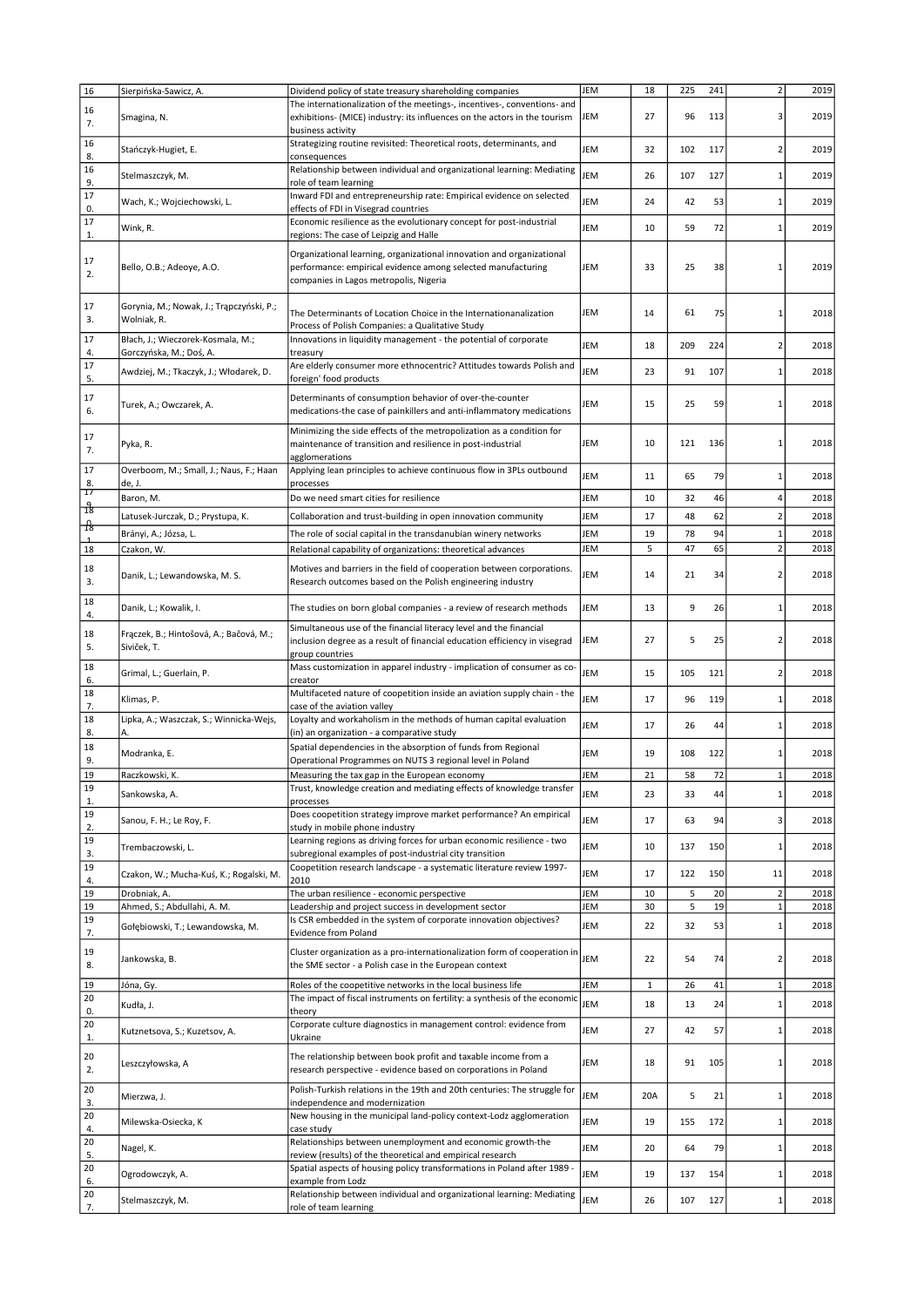| 16             | Sierpińska-Sawicz, A.                                   | Dividend policy of state treasury shareholding companies                                                                               | JEM        | 18           | 225 | 241 | $\overline{2}$           | 2019 |
|----------------|---------------------------------------------------------|----------------------------------------------------------------------------------------------------------------------------------------|------------|--------------|-----|-----|--------------------------|------|
|                |                                                         | The internationalization of the meetings-, incentives-, conventions- and                                                               |            |              |     |     |                          |      |
| 16<br>7.       | Smagina, N.                                             | exhibitions- (MICE) industry: its influences on the actors in the tourism                                                              | JEM        | 27           | 96  | 113 | 3                        | 2019 |
|                |                                                         | business activity                                                                                                                      |            |              |     |     |                          |      |
| 16             | Stańczyk-Hugiet, E.                                     | Strategizing routine revisited: Theoretical roots, determinants, and                                                                   | JEM        | 32           | 102 | 117 | $\overline{2}$           | 2019 |
| 8.             |                                                         | consequences                                                                                                                           |            |              |     |     |                          |      |
| 16             | Stelmaszczyk, M.                                        | Relationship between individual and organizational learning: Mediating                                                                 | JEM        | 26           | 107 | 127 | $\mathbf{1}$             | 2019 |
| 9.             |                                                         | role of team learning                                                                                                                  |            |              |     |     |                          |      |
| 17             | Wach, K.; Wojciechowski, L.                             | Inward FDI and entrepreneurship rate: Empirical evidence on selected                                                                   | JEM        | 24           | 42  | 53  | $\mathbf{1}$             | 2019 |
| 0.<br>17       |                                                         | effects of FDI in Visegrad countries                                                                                                   |            |              |     |     |                          |      |
| 1.             | Wink, R.                                                | Economic resilience as the evolutionary concept for post-industrial<br>regions: The case of Leipzig and Halle                          | JEM        | 10           | 59  | 72  | $\mathbf{1}$             | 2019 |
|                |                                                         |                                                                                                                                        |            |              |     |     |                          |      |
| 17             |                                                         | Organizational learning, organizational innovation and organizational                                                                  |            |              |     |     |                          |      |
| 2.             | Bello, O.B.; Adeoye, A.O.                               | performance: empirical evidence among selected manufacturing                                                                           | JEM        | 33           | 25  | 38  | -1                       | 2019 |
|                |                                                         | companies in Lagos metropolis, Nigeria                                                                                                 |            |              |     |     |                          |      |
| 17             |                                                         |                                                                                                                                        |            |              |     |     |                          |      |
| 3.             | Gorynia, M.; Nowak, J.; Trąpczyński, P.;<br>Wolniak, R. | The Determinants of Location Choice in the Internationanalization                                                                      | JEM        | 14           | 61  | 75  | $\mathbf{1}$             | 2018 |
|                |                                                         | Process of Polish Companies: a Qualitative Study                                                                                       |            |              |     |     |                          |      |
| 17             | Błach, J.; Wieczorek-Kosmala, M.;                       | Innovations in liquidity management - the potential of corporate                                                                       | JEM        | 18           | 209 | 224 | $\overline{\phantom{a}}$ | 2018 |
| 4.             | Gorczyńska, M.; Doś, A.                                 | treasury                                                                                                                               |            |              |     |     |                          |      |
| 17<br>5.       | Awdziej, M.; Tkaczyk, J.; Włodarek, D.                  | Are elderly consumer more ethnocentric? Attitudes towards Polish and<br>foreign' food products                                         | <b>JEM</b> | 23           | 91  | 107 | $\mathbf{1}$             | 2018 |
|                |                                                         |                                                                                                                                        |            |              |     |     |                          |      |
| 17             | Turek, A.; Owczarek, A.                                 | Determinants of consumption behavior of over-the-counter                                                                               | JEM        | 15           | 25  | 59  | 1                        | 2018 |
| 6.             |                                                         | medications-the case of painkillers and anti-inflammatory medications                                                                  |            |              |     |     |                          |      |
|                |                                                         | Minimizing the side effects of the metropolization as a condition for                                                                  |            |              |     |     |                          |      |
| 17             | Pyka, R.                                                | maintenance of transition and resilience in post-industrial                                                                            | JEM        | 10           | 121 | 136 | $\mathbf{1}$             | 2018 |
| 7.             |                                                         | agglomerations                                                                                                                         |            |              |     |     |                          |      |
| 17             | Overboom, M.; Small, J.; Naus, F.; Haan                 | Applying lean principles to achieve continuous flow in 3PLs outbound                                                                   | JEM        | 11           | 65  | 79  | $\mathbf{1}$             | 2018 |
| 8.             | de, J.                                                  | processes                                                                                                                              |            |              |     |     |                          |      |
| 17             | Baron, M.                                               | Do we need smart cities for resilience                                                                                                 | JEM        | 10           | 32  | 46  | 4                        | 2018 |
| $\frac{9}{18}$ | Latusek-Jurczak, D.; Prystupa, K.                       | Collaboration and trust-building in open innovation community                                                                          | JEM        | 17           | 48  | 62  | $\overline{2}$           | 2018 |
| $\frac{1}{8}$  | Brányi, A.; Józsa, L.                                   | The role of social capital in the transdanubian winery networks                                                                        | JEM        | 19           | 78  | 94  | $\mathbf{1}$             | 2018 |
| 18             | Czakon, W.                                              | Relational capability of organizations: theoretical advances                                                                           | JEM        | 5            | 47  | 65  | $\overline{2}$           | 2018 |
|                |                                                         |                                                                                                                                        |            |              |     |     |                          |      |
| 18             | Danik, L.; Lewandowska, M. S.                           | Motives and barriers in the field of cooperation between corporations.                                                                 | JEM        | 14           | 21  | 34  | $\overline{2}$           | 2018 |
| 3.             |                                                         | Research outcomes based on the Polish engineering industry                                                                             |            |              |     |     |                          |      |
| 18             |                                                         |                                                                                                                                        |            |              |     |     |                          |      |
| 4.             | Danik, L.; Kowalik, I.                                  | The studies on born global companies - a review of research methods                                                                    | JEM        | 13           | 9   | 26  | 1                        | 2018 |
| 18             | Frączek, B.; Hintošová, A.; Bačová, M.;                 | Simultaneous use of the financial literacy level and the financial                                                                     |            |              |     |     |                          |      |
| 5.             | Siviček, T.                                             | inclusion degree as a result of financial education efficiency in visegrad                                                             | JEM        | 27           | 5   | 25  | $\overline{2}$           | 2018 |
|                |                                                         | group countries                                                                                                                        |            |              |     |     |                          |      |
| 18             | Grimal, L.; Guerlain, P.                                | Mass customization in apparel industry - implication of consumer as co-                                                                | JEM        | 15           | 105 | 121 | $\overline{2}$           | 2018 |
| 6.             |                                                         | creator                                                                                                                                |            |              |     |     |                          |      |
| 18<br>7.       | Klimas, P.                                              | Multifaceted nature of coopetition inside an aviation supply chain - the<br>case of the aviation valley                                | JEM        | 17           | 96  | 119 | 1                        | 2018 |
| 18             | Lipka, A.; Waszczak, S.; Winnicka-Wejs,                 | Loyalty and workaholism in the methods of human capital evaluation                                                                     |            |              |     |     |                          |      |
| 8.             | А.                                                      | (in) an organization - a comparative study                                                                                             | JEM        | 17           | 26  | 44  | 1                        | 2018 |
| 18             |                                                         | Spatial dependencies in the absorption of funds from Regional                                                                          |            |              |     |     |                          |      |
| 9.             | Modranka, E.                                            | Operational Programmes on NUTS 3 regional level in Poland                                                                              | JEM        | 19           | 108 | 122 | $\mathbf{1}$             | 2018 |
| 19             | Raczkowski, K.                                          | Measuring the tax gap in the European economy                                                                                          | JEM        | 21           | 58  | 72  | $\mathbf{1}$             | 2018 |
| 19             |                                                         | Trust, knowledge creation and mediating effects of knowledge transfer                                                                  |            |              |     |     |                          |      |
| $\mathbf{1}$   | Sankowska, A.                                           | processes                                                                                                                              | JEM        | 23           | 33  | 44  | $\mathbf{1}$             | 2018 |
| 19             | Sanou, F. H.; Le Roy, F.                                | Does coopetition strategy improve market performance? An empirical                                                                     | JEM        | 17           | 63  | 94  | 3                        | 2018 |
| 2.             |                                                         | study in mobile phone industry                                                                                                         |            |              |     |     |                          |      |
| 19             | Trembaczowski, L.                                       | Learning regions as driving forces for urban economic resilience - two                                                                 | JEM        | 10           | 137 | 150 | $\mathbf{1}$             | 2018 |
| 3.             |                                                         | subregional examples of post-industrial city transition                                                                                |            |              |     |     |                          |      |
| 19<br>4.       | Czakon, W.; Mucha-Kuś, K.; Rogalski, M.                 | Coopetition research landscape - a systematic literature review 1997-<br>2010                                                          | JEM        | 17           | 122 | 150 | 11                       | 2018 |
| 19             | Drobniak, A.                                            | The urban resilience - economic perspective                                                                                            | JEM        | 10           | 5   | 20  | $\overline{2}$           | 2018 |
| 19             | Ahmed, S.; Abdullahi, A. M.                             | Leadership and project success in development sector                                                                                   | JEM        | 30           | 5   | 19  | $1\,$                    | 2018 |
| 19             |                                                         | Is CSR embedded in the system of corporate innovation objectives?                                                                      |            |              |     |     |                          |      |
| 7.             | Gołębiowski, T.; Lewandowska, M.                        | <b>Evidence from Poland</b>                                                                                                            | JEM        | 22           | 32  | 53  | $\mathbf{1}$             | 2018 |
| 19             |                                                         | Cluster organization as a pro-internationalization form of cooperation in                                                              |            |              |     |     |                          |      |
| 8.             | Jankowska, B.                                           | the SME sector - a Polish case in the European context                                                                                 | JEM        | 22           | 54  | 74  | $\overline{2}$           | 2018 |
|                |                                                         |                                                                                                                                        |            |              |     |     |                          |      |
| 19             | Jóna, Gy.                                               | Roles of the coopetitive networks in the local business life                                                                           | JEM        | $\mathbf{1}$ | 26  | 41  | $\mathbf{1}$             | 2018 |
| 20             | Kudła, J.                                               | The impact of fiscal instruments on fertility: a synthesis of the economic                                                             | JEM        | 18           | 13  | 24  | $\mathbf{1}$             | 2018 |
| 0.<br>20       |                                                         | theory<br>Corporate culture diagnostics in management control: evidence from                                                           |            |              |     |     |                          |      |
| 1.             | Kutznetsova, S.; Kuzetsov, A.                           | Ukraine                                                                                                                                | JEM        | 27           | 42  | 57  | $\mathbf{1}$             | 2018 |
|                |                                                         |                                                                                                                                        |            |              |     |     |                          |      |
| 20             | Leszczyłowska, A                                        | The relationship between book profit and taxable income from a                                                                         | JEM        | 18           | 91  | 105 | $\mathbf{1}$             | 2018 |
| 2.             |                                                         | research perspective - evidence based on corporations in Poland                                                                        |            |              |     |     |                          |      |
| 20             |                                                         | Polish-Turkish relations in the 19th and 20th centuries: The struggle for                                                              | JEM        | 20A          | 5   | 21  | $\mathbf{1}$             | 2018 |
| 3.             | Mierzwa, J.                                             | independence and modernization                                                                                                         |            |              |     |     |                          |      |
| 20             | Milewska-Osiecka, K                                     | New housing in the municipal land-policy context-Lodz agglomeration                                                                    | JEM        | 19           | 155 | 172 | $\mathbf{1}$             | 2018 |
| 4.             |                                                         | case study                                                                                                                             |            |              |     |     |                          |      |
| 20             | Nagel, K.                                               | Relationships between unemployment and economic growth-the                                                                             | JEM        | 20           | 64  | 79  | $\mathbf{1}$             | 2018 |
| 5.<br>20       |                                                         | review (results) of the theoretical and empirical research<br>Spatial aspects of housing policy transformations in Poland after 1989 - |            |              |     |     |                          |      |
| 6.             | Ogrodowczyk, A.                                         | example from Lodz                                                                                                                      | JEM        | 19           | 137 | 154 | $\mathbf{1}$             | 2018 |
| 20             |                                                         | Relationship between individual and organizational learning: Mediating                                                                 |            |              |     |     |                          |      |
| 7.             | Stelmaszczyk, M.                                        | role of team learning                                                                                                                  | JEM        | 26           | 107 | 127 | $\mathbf{1}$             | 2018 |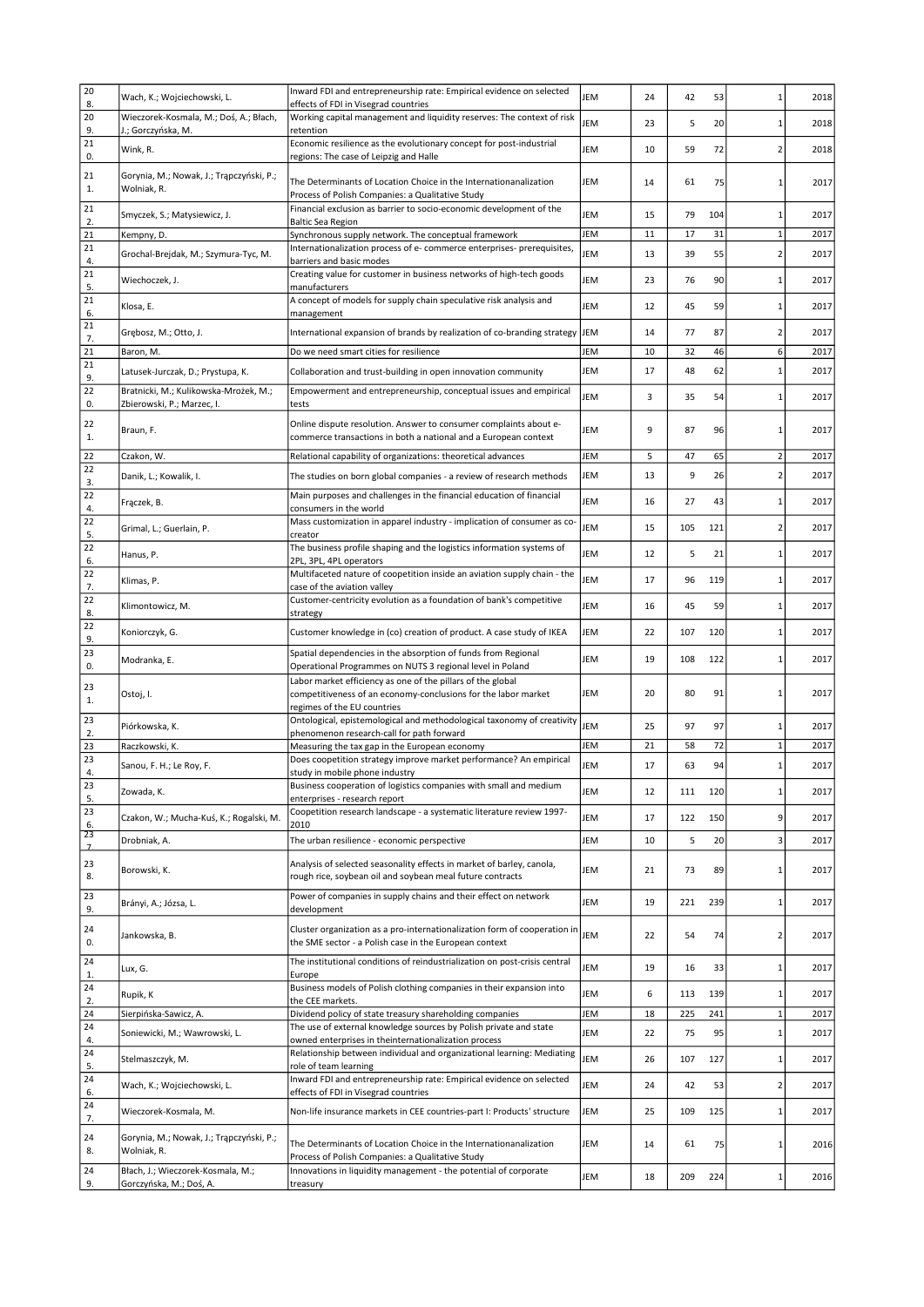| 20                   | Wach, K.; Wojciechowski, L.                                         | Inward FDI and entrepreneurship rate: Empirical evidence on selected                                                                                         | JEM | 24 | 42  | 53  | $\mathbf{1}$             | 2018 |
|----------------------|---------------------------------------------------------------------|--------------------------------------------------------------------------------------------------------------------------------------------------------------|-----|----|-----|-----|--------------------------|------|
| 8.                   |                                                                     | effects of FDI in Visegrad countries                                                                                                                         |     |    |     |     |                          |      |
| 20<br>9.             | Wieczorek-Kosmala, M.; Doś, A.; Błach,<br>J.; Gorczyńska, M.        | Working capital management and liquidity reserves: The context of risk<br>retention                                                                          | JEM | 23 | 5   | 20  | $\mathbf{1}$             | 2018 |
| 21<br>0.             | Wink, R.                                                            | Economic resilience as the evolutionary concept for post-industrial<br>regions: The case of Leipzig and Halle                                                | JEM | 10 | 59  | 72  | $\overline{2}$           | 2018 |
| 21<br>1.             | Gorynia, M.; Nowak, J.; Trapczyński, P.;<br>Wolniak, R.             | The Determinants of Location Choice in the Internationanalization<br>Process of Polish Companies: a Qualitative Study                                        | JEM | 14 | 61  | 75  | $\mathbf{1}$             | 2017 |
| 21                   | Smyczek, S.; Matysiewicz, J.                                        | Financial exclusion as barrier to socio-economic development of the                                                                                          | JEM | 15 | 79  | 104 | $1\,$                    | 2017 |
| 2.<br>21             | Kempny, D.                                                          | <b>Baltic Sea Region</b><br>Synchronous supply network. The conceptual framework                                                                             | JEM | 11 | 17  | 31  | $\mathbf 1$              | 2017 |
| 21                   |                                                                     | Internationalization process of e- commerce enterprises- prerequisites,                                                                                      | JEM |    |     | 55  | $\overline{2}$           |      |
| 4.                   | Grochal-Breidak, M.; Szymura-Tyc, M.                                | barriers and basic modes                                                                                                                                     |     | 13 | 39  |     |                          | 2017 |
| 21<br>5.             | Wiechoczek, J.                                                      | Creating value for customer in business networks of high-tech goods<br>manufacturers                                                                         | JEM | 23 | 76  | 90  | $\mathbf 1$              | 2017 |
| 21<br>6.             | Klosa, E.                                                           | A concept of models for supply chain speculative risk analysis and<br>management                                                                             | JEM | 12 | 45  | 59  | $\mathbf{1}$             | 2017 |
| 21<br>7.             | Grębosz, M.; Otto, J.                                               | International expansion of brands by realization of co-branding strategy JEM                                                                                 |     | 14 | 77  | 87  | $\overline{2}$           | 2017 |
| 21                   | Baron, M.                                                           | Do we need smart cities for resilience                                                                                                                       | JEM | 10 | 32  | 46  | 6                        | 2017 |
| 21<br>9.             | Latusek-Jurczak, D.; Prystupa, K.                                   | Collaboration and trust-building in open innovation community                                                                                                | JEM | 17 | 48  | 62  | $\mathbf{1}$             | 2017 |
| 22<br>0.             | Bratnicki, M.; Kulikowska-Mrożek, M.;<br>Zbierowski, P.; Marzec, I. | Empowerment and entrepreneurship, conceptual issues and empirical<br>tests                                                                                   | JEM | 3  | 35  | 54  | $\mathbf{1}$             | 2017 |
| 22<br>1.             | Braun, F.                                                           | Online dispute resolution. Answer to consumer complaints about e-<br>commerce transactions in both a national and a European context                         | JEM | 9  | 87  | 96  | $\mathbf{1}$             | 2017 |
| 22                   | Czakon, W.                                                          | Relational capability of organizations: theoretical advances                                                                                                 | JEM | 5  | 47  | 65  | $\overline{2}$           | 2017 |
| 22<br>3.             | Danik, L.; Kowalik, I.                                              | The studies on born global companies - a review of research methods                                                                                          | JEM | 13 | 9   | 26  | $\overline{2}$           | 2017 |
| 22<br>4.             | Fraczek, B.                                                         | Main purposes and challenges in the financial education of financial<br>consumers in the world                                                               | JEM | 16 | 27  | 43  | $\mathbf{1}$             | 2017 |
| 22<br>5.             | Grimal, L.; Guerlain, P.                                            | Mass customization in apparel industry - implication of consumer as co-<br>creator                                                                           | JEM | 15 | 105 | 121 | $\overline{\phantom{a}}$ | 2017 |
| 22<br>6.             | Hanus, P.                                                           | The business profile shaping and the logistics information systems of<br>2PL, 3PL, 4PL operators                                                             | JEM | 12 | 5   | 21  | $\mathbf{1}$             | 2017 |
| 22<br>7.             | Klimas, P.                                                          | Multifaceted nature of coopetition inside an aviation supply chain - the<br>case of the aviation valley                                                      | JEM | 17 | 96  | 119 | $\mathbf{1}$             | 2017 |
| 22<br>8.             | Klimontowicz, M.                                                    | Customer-centricity evolution as a foundation of bank's competitive<br>strategy                                                                              | JEM | 16 | 45  | 59  | $\mathbf{1}$             | 2017 |
| 22<br>9.             | Koniorczyk, G.                                                      | Customer knowledge in (co) creation of product. A case study of IKEA                                                                                         | JEM | 22 | 107 | 120 | 1                        | 2017 |
| 23<br>0.             | Modranka, E.                                                        | Spatial dependencies in the absorption of funds from Regional<br>Operational Programmes on NUTS 3 regional level in Poland                                   | JEM | 19 | 108 | 122 | $\mathbf{1}$             | 2017 |
| 23<br>1.             | Ostoj, I.                                                           | Labor market efficiency as one of the pillars of the global<br>competitiveness of an economy-conclusions for the labor market<br>regimes of the EU countries | JEM | 20 | 80  | 91  | $\mathbf{1}$             | 2017 |
| 23<br>2.             | Piórkowska, K.                                                      | Ontological, epistemological and methodological taxonomy of creativity<br>phenomenon research-call for path forward                                          | JEM | 25 | 97  | 97  | $\mathbf{1}$             | 2017 |
| 23                   | Raczkowski, K.                                                      | Measuring the tax gap in the European economy                                                                                                                | JEM | 21 | 58  | 72  | $\mathbf{1}$             | 2017 |
| 23<br>4.             | Sanou, F. H.; Le Roy, F.                                            | Does coopetition strategy improve market performance? An empirical<br>study in mobile phone industry                                                         | JEM | 17 | 63  | 94  | $\mathbf{1}$             | 2017 |
| 23<br>5.             | Zowada, K.                                                          | Business cooperation of logistics companies with small and medium<br>enterprises - research report                                                           | JEM | 12 | 111 | 120 | $\mathbf{1}$             | 2017 |
| 23<br>6.             | Czakon, W.; Mucha-Kuś, K.; Rogalski, M.                             | Coopetition research landscape - a systematic literature review 1997-<br>2010                                                                                | JEM | 17 | 122 | 150 | 9                        | 2017 |
| 23<br>$\overline{z}$ | Drobniak, A.                                                        | The urban resilience - economic perspective                                                                                                                  | JEM | 10 | 5   | 20  | 3                        | 2017 |
| 23<br>8.             | Borowski, K.                                                        | Analysis of selected seasonality effects in market of barley, canola,<br>rough rice, soybean oil and soybean meal future contracts                           | JEM | 21 | 73  | 89  | $\mathbf{1}$             | 2017 |
| 23<br>9.             | Brányi, A.; Józsa, L.                                               | Power of companies in supply chains and their effect on network<br>development                                                                               | JEM | 19 | 221 | 239 | $\mathbf{1}$             | 2017 |
| 24<br>0.             | Jankowska, B.                                                       | Cluster organization as a pro-internationalization form of cooperation in<br>the SME sector - a Polish case in the European context                          | JEM | 22 | 54  | 74  | $\overline{2}$           | 2017 |
| 24<br>1.             | Lux, G.                                                             | The institutional conditions of reindustrialization on post-crisis central<br>Europe                                                                         | JEM | 19 | 16  | 33  | $\mathbf{1}$             | 2017 |
| 24<br>2.             | Rupik, K                                                            | Business models of Polish clothing companies in their expansion into<br>the CEE markets.                                                                     | JEM | 6  | 113 | 139 | $\mathbf{1}$             | 2017 |
| 24                   | Sierpińska-Sawicz, A.                                               | Dividend policy of state treasury shareholding companies                                                                                                     | JEM | 18 | 225 | 241 | $\mathbf{1}$             | 2017 |
| 24<br>4.             | Soniewicki, M.; Wawrowski, L.                                       | The use of external knowledge sources by Polish private and state<br>owned enterprises in theinternationalization process                                    | JEM | 22 | 75  | 95  | $\mathbf{1}$             | 2017 |
| 24<br>5.             | Stelmaszczyk, M.                                                    | Relationship between individual and organizational learning: Mediating<br>role of team learning                                                              | JEM | 26 | 107 | 127 | $\mathbf{1}$             | 2017 |
| 24<br>6.             | Wach, K.; Wojciechowski, L.                                         | Inward FDI and entrepreneurship rate: Empirical evidence on selected<br>effects of FDI in Visegrad countries                                                 | JEM | 24 | 42  | 53  | $\overline{2}$           | 2017 |
| 24<br>7.             | Wieczorek-Kosmala, M.                                               | Non-life insurance markets in CEE countries-part I: Products' structure                                                                                      | JEM | 25 | 109 | 125 | $\mathbf{1}$             | 2017 |
| 24<br>8.             | Gorynia, M.; Nowak, J.; Trąpczyński, P.;<br>Wolniak, R.             | The Determinants of Location Choice in the Internationanalization<br>Process of Polish Companies: a Qualitative Study                                        | JEM | 14 | 61  | 75  | 1                        | 2016 |
| 24<br>9.             | Błach, J.; Wieczorek-Kosmala, M.;<br>Gorczyńska, M.; Doś, A.        | Innovations in liquidity management - the potential of corporate<br>treasury                                                                                 | JEM | 18 | 209 | 224 | $1\,$                    | 2016 |
|                      |                                                                     |                                                                                                                                                              |     |    |     |     |                          |      |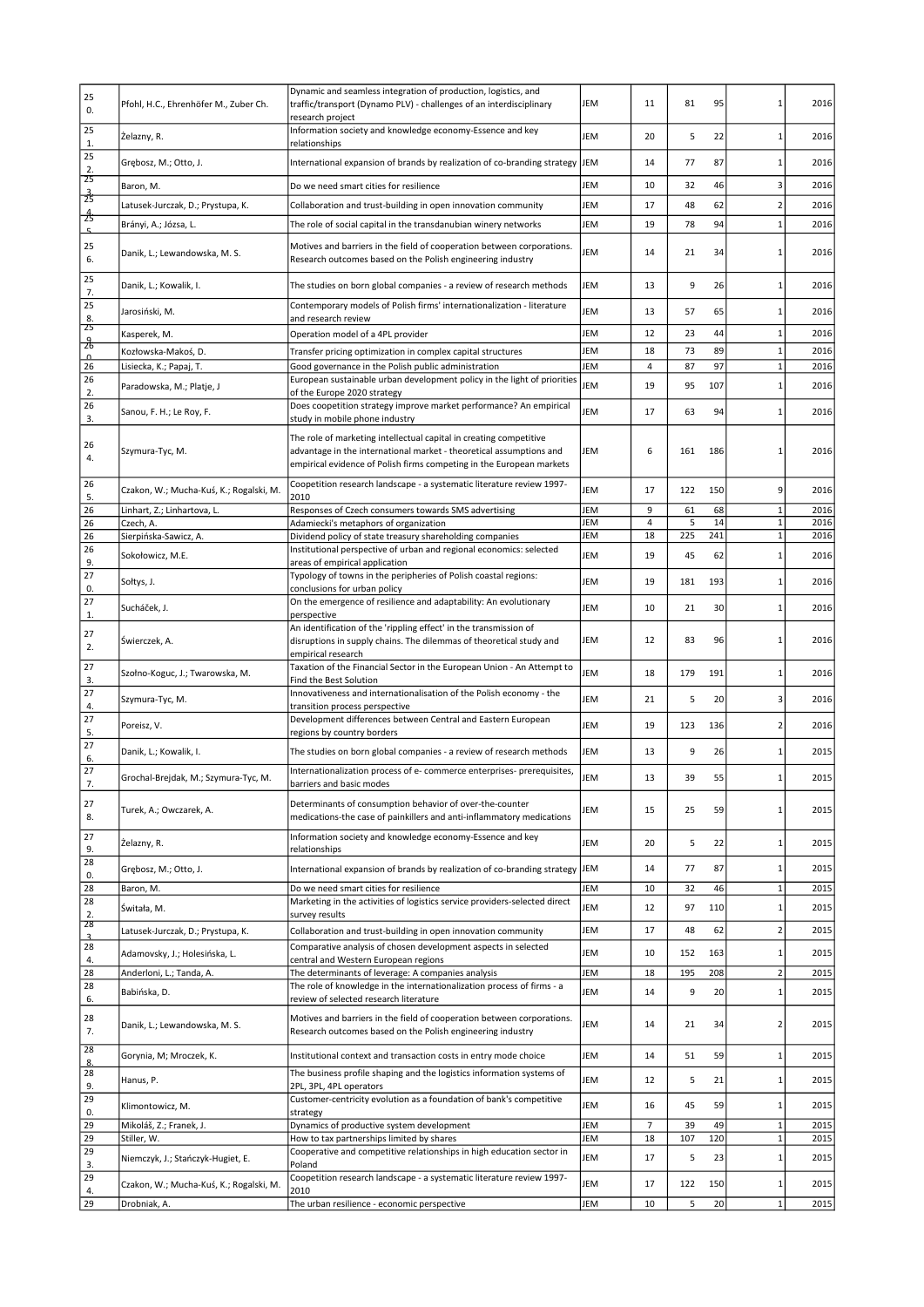| 25<br>0.             | Pfohl, H.C., Ehrenhöfer M., Zuber Ch.            | Dynamic and seamless integration of production, logistics, and<br>traffic/transport (Dynamo PLV) - challenges of an interdisciplinary<br>research project                                                         | JEM        | 11       | 81       | 95        |                                | 2016         |
|----------------------|--------------------------------------------------|-------------------------------------------------------------------------------------------------------------------------------------------------------------------------------------------------------------------|------------|----------|----------|-----------|--------------------------------|--------------|
| 25<br>1.             | Żelazny, R.                                      | Information society and knowledge economy-Essence and key<br>relationships                                                                                                                                        | JEM        | 20       | 5        | 22        |                                | 2016         |
| 25<br>2.             | Grębosz, M.; Otto, J.                            | International expansion of brands by realization of co-branding strategy                                                                                                                                          | JEM        | 14       | 77       | 87        | -1                             | 2016         |
| 25                   | Baron, M.                                        | Do we need smart cities for resilience                                                                                                                                                                            | JEM        | 10       | 32       | 46        | 3                              | 2016         |
| $\frac{3}{25}$       | Latusek-Jurczak, D.; Prystupa, K.                | Collaboration and trust-building in open innovation community                                                                                                                                                     | JEM        | 17       | 48       | 62        | $\overline{\phantom{a}}$       | 2016         |
| 25                   | Brányi, A.; Józsa, L.                            | The role of social capital in the transdanubian winery networks                                                                                                                                                   | JEM        | 19       | 78       | 94        |                                | 2016         |
| 5                    |                                                  |                                                                                                                                                                                                                   |            |          |          |           |                                |              |
| 25<br>6.             | Danik, L.; Lewandowska, M. S.                    | Motives and barriers in the field of cooperation between corporations.<br>Research outcomes based on the Polish engineering industry                                                                              | JEM        | 14       | 21       | 34        |                                | 2016         |
| 25<br>7.             | Danik, L.; Kowalik, I.                           | The studies on born global companies - a review of research methods                                                                                                                                               | JEM        | 13       | 9        | 26        |                                | 2016         |
| 25<br>8.             | Jarosiński, M.                                   | Contemporary models of Polish firms' internationalization - literature<br>and research review                                                                                                                     | JEM        | 13       | 57       | 65        | -1                             | 2016         |
| 25<br>$\frac{9}{26}$ | Kasperek, M.                                     | Operation model of a 4PL provider                                                                                                                                                                                 | JEM        | 12       | 23       | 44        | $\mathbf{1}$                   | 2016         |
| $\Omega$             | Kozłowska-Makoś, D.                              | Transfer pricing optimization in complex capital structures                                                                                                                                                       | JEM        | 18       | 73       | 89        | $\mathbf{1}$                   | 2016         |
| 26                   | Lisiecka, K.; Papaj, T.                          | Good governance in the Polish public administration                                                                                                                                                               | JEM        | 4        | 87       | 97        | $\mathbf{1}$                   | 2016         |
| 26<br>2.             | Paradowska, M.; Platje, J                        | European sustainable urban development policy in the light of priorities<br>of the Europe 2020 strategy                                                                                                           | JEM        | 19       | 95       | 107       | $\mathbf{1}$                   | 2016         |
| 26<br>3.             | Sanou, F. H.; Le Roy, F.                         | Does coopetition strategy improve market performance? An empirical<br>study in mobile phone industry                                                                                                              | JEM        | 17       | 63       | 94        | 1                              | 2016         |
| 26<br>4.             | Szymura-Tyc, M.                                  | The role of marketing intellectual capital in creating competitive<br>advantage in the international market - theoretical assumptions and<br>empirical evidence of Polish firms competing in the European markets | JEM        | 6        | 161      | 186       |                                | 2016         |
| 26<br>5.             | Czakon, W.; Mucha-Kuś, K.; Rogalski, M.          | Coopetition research landscape - a systematic literature review 1997-<br>2010                                                                                                                                     | JEM        | 17       | 122      | 150       | 9                              | 2016         |
| 26                   | Linhart, Z.; Linhartova, L.                      | Responses of Czech consumers towards SMS advertising                                                                                                                                                              | JEM        | 9        | 61       | 68        | $\mathbf{1}$                   | 2016         |
| 26                   | Czech, A.                                        | Adamiecki's metaphors of organization                                                                                                                                                                             | JEM        | 4        | 5        | 14        | $\mathbf{1}$                   | 2016         |
| 26<br>26             | Sierpińska-Sawicz, A.                            | Dividend policy of state treasury shareholding companies<br>Institutional perspective of urban and regional economics: selected                                                                                   | JEM        | 18       | 225      | 241       | $\mathbf{1}$                   | 2016         |
| 9.                   | Sokołowicz, M.E.                                 | areas of empirical application                                                                                                                                                                                    | JEM        | 19       | 45       | 62        | 1                              | 2016         |
| 27<br>0.             | Sołtys, J.                                       | Typology of towns in the peripheries of Polish coastal regions:<br>conclusions for urban policy                                                                                                                   | JEM        | 19       | 181      | 193       |                                | 2016         |
| 27                   | Sucháček, J.                                     | On the emergence of resilience and adaptability: An evolutionary                                                                                                                                                  | JEM        | 10       | 21       | 30        | 1                              | 2016         |
| 1.                   |                                                  | perspective<br>An identification of the 'rippling effect' in the transmission of                                                                                                                                  |            |          |          |           |                                |              |
| 27<br>2.             | Swierczek, A.                                    | disruptions in supply chains. The dilemmas of theoretical study and<br>empirical research                                                                                                                         | JEM        | 12       | 83       | 96        |                                | 2016         |
| 27<br>3.             | Szołno-Koguc, J.; Twarowska, M.                  | Taxation of the Financial Sector in the European Union - An Attempt to<br>Find the Best Solution                                                                                                                  | JEM        | 18       | 179      | 191       | 1                              | 2016         |
| 27<br>4.             | Szymura-Tyc, M.                                  | Innovativeness and internationalisation of the Polish economy - the<br>transition process perspective                                                                                                             | JEM        | 21       | 5        | 20        | 3                              | 2016         |
| 27<br>5.             | Poreisz, V.                                      | Development differences between Central and Eastern European<br>regions by country borders                                                                                                                        | JEM        | 19       | 123      | 136       | 2                              | 2016         |
| 27<br>6.             | Danik, L.; Kowalik, I.                           | The studies on born global companies - a review of research methods                                                                                                                                               | JEM        | 13       | 9        | 26        |                                | 2015         |
| 27<br>7.             | Grochal-Brejdak, M.; Szymura-Tyc, M.             | Internationalization process of e- commerce enterprises- prerequisites,<br>barriers and basic modes                                                                                                               | <b>EM</b>  | 13       | 39       | 55        |                                | 2015         |
| 27<br>8.             | Turek, A.; Owczarek, A.                          | Determinants of consumption behavior of over-the-counter<br>medications-the case of painkillers and anti-inflammatory medications                                                                                 | JEM        | 15       | 25       | 59        | $\mathbf{1}$                   | 2015         |
| 27<br>9.             | Żelazny, R.                                      | Information society and knowledge economy-Essence and key                                                                                                                                                         | JEM        | 20       | 5        | 22        | $\mathbf{1}$                   | 2015         |
| 28                   | Grebosz, M.; Otto, J.                            | relationships<br>International expansion of brands by realization of co-branding strategy                                                                                                                         | <b>JEM</b> | 14       | 77       | 87        | $\mathbf{1}$                   | 2015         |
| 0.<br>28             | Baron, M.                                        | Do we need smart cities for resilience                                                                                                                                                                            | JEM        | 10       | 32       | 46        | $\mathbf{1}$                   | 2015         |
| 28                   |                                                  | Marketing in the activities of logistics service providers-selected direct                                                                                                                                        |            |          |          |           |                                |              |
| 2.<br>28             | Świtała, M.<br>Latusek-Jurczak, D.; Prystupa, K. | survey results<br>Collaboration and trust-building in open innovation community                                                                                                                                   | JEM<br>JEM | 12<br>17 | 97<br>48 | 110<br>62 | $\mathbf{1}$<br>$\overline{2}$ | 2015<br>2015 |
| $\overline{3}$<br>28 |                                                  | Comparative analysis of chosen development aspects in selected                                                                                                                                                    |            |          |          |           |                                |              |
| 4.                   | Adamovsky, J.; Holesińska, L.                    | central and Western European regions                                                                                                                                                                              | JEM        | 10       | 152      | 163       | $\mathbf{1}$                   | 2015         |
| 28                   | Anderloni, L.; Tanda, A.                         | The determinants of leverage: A companies analysis                                                                                                                                                                | JEM        | 18       | 195      | 208       | $\overline{2}$                 | 2015         |
| 28<br>6.             | Babińska, D.                                     | The role of knowledge in the internationalization process of firms - a<br>review of selected research literature                                                                                                  | JEM        | 14       | 9        | 20        | $\mathbf{1}$                   | 2015         |
| 28<br>7.             | Danik, L.; Lewandowska, M. S.                    | Motives and barriers in the field of cooperation between corporations.<br>Research outcomes based on the Polish engineering industry                                                                              | JEM        | 14       | 21       | 34        | $\overline{\phantom{a}}$       | 2015         |
| 28<br>8.             | Gorynia, M; Mroczek, K.                          | Institutional context and transaction costs in entry mode choice                                                                                                                                                  | JEM        | 14       | 51       | 59        | $1\,$                          | 2015         |
| 28<br>9.             | Hanus, P.                                        | The business profile shaping and the logistics information systems of<br>2PL, 3PL, 4PL operators                                                                                                                  | JEM        | 12       | 5        | 21        | 1                              | 2015         |
| 29<br>0.             | Klimontowicz, M.                                 | Customer-centricity evolution as a foundation of bank's competitive<br>strategy                                                                                                                                   | JEM        | 16       | 45       | 59        | $\mathbf{1}$                   | 2015         |
| 29                   | Mikoláš, Z.; Franek, J.                          | Dynamics of productive system development                                                                                                                                                                         | JEM        | 7        | 39       | 49        | $\mathbf{1}$                   | 2015         |
| 29                   | Stiller, W.                                      | How to tax partnerships limited by shares                                                                                                                                                                         | JEM        | 18       | 107      | 120       | $\mathbf{1}$                   | 2015         |
| 29<br>3.             | Niemczyk, J.; Stańczyk-Hugiet, E.                | Cooperative and competitive relationships in high education sector in<br>Poland                                                                                                                                   | JEM        | 17       | 5        | 23        | $1\,$                          | 2015         |
| 29<br>4.             | Czakon, W.; Mucha-Kuś, K.; Rogalski, M.          | Coopetition research landscape - a systematic literature review 1997-<br>2010                                                                                                                                     | JEM        | 17       | 122      | 150       | 1                              | 2015         |
| 29                   | Drobniak, A.                                     | The urban resilience - economic perspective                                                                                                                                                                       | JEM        | 10       | 5        | 20        | $\mathbf 1$                    | 2015         |